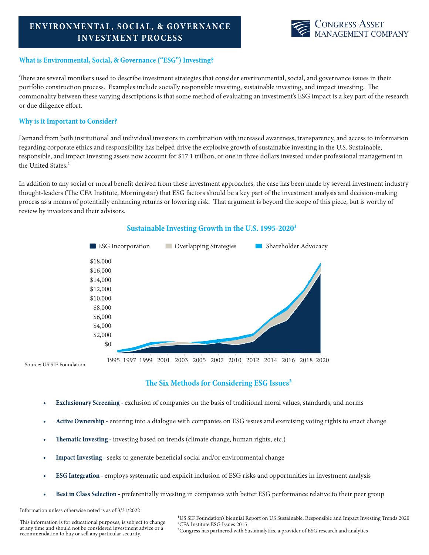# **ENVIRONMENTAL, SO CIAL, & GOVERNANCE INVESTMENT PROCESS**



## **What is Environmental, Social, & Governance ("ESG") Investing?**

There are several monikers used to describe investment strategies that consider envrironmental, social, and governance issues in their portfolio construction process. Examples include socially responsible investing, sustainable investing, and impact investing. The commonality between these varying descriptions is that some method of evaluating an investment's ESG impact is a key part of the research or due diligence effort.

## **Why is it Important to Consider?**

Demand from both institutional and individual investors in combination with increased awareness, transparency, and access to information regarding corporate ethics and responsibility has helped drive the explosive growth of sustainable investing in the U.S. Sustainable, responsible, and impact investing assets now account for \$17.1 trillion, or one in three dollars invested under professional management in the United States.<sup>1</sup>

In addition to any social or moral benefit derived from these investment approaches, the case has been made by several investment industry thought-leaders (The CFA Institute, Morningstar) that ESG factors should be a key part of the investment analysis and decision-making process as a means of potentially enhancing returns or lowering risk. That argument is beyond the scope of this piece, but is worthy of review by investors and their advisors.



## Sustainable Investing Growth in the U.S. 1995-2020<sup>1</sup>

## **The Six Methods for Considering ESG Issues²**

- **• Exclusionary Screening** exclusion of companies on the basis of traditional moral values, standards, and norms
- **• Active Ownership -** entering into a dialogue with companies on ESG issues and exercising voting rights to enact change
- **• Thematic Investing -** investing based on trends (climate change, human rights, etc.)
- **• Impact Investing** seeks to generate beneficial social and/or environmental change
- **• ESG Integration** employs systematic and explicit inclusion of ESG risks and opportunities in investment analysis
- **• Best in Class Selection -** preferentially investing in companies with better ESG performance relative to their peer group

Information unless otherwise noted is as of 3/31/2022

This information is for educational purposes, is subject to change at any time and should not be considered investment advice or a recommendation to buy or sell any particular security.

<sup>1</sup>US SIF Foundation's biennial Report on US Sustainable, Responsible and Impact Investing Trends 2020 ²CFA Institute ESG Issues 2015 <sup>3</sup>Congress has partnered with Sustainalytics, a provider of ESG research and analytics